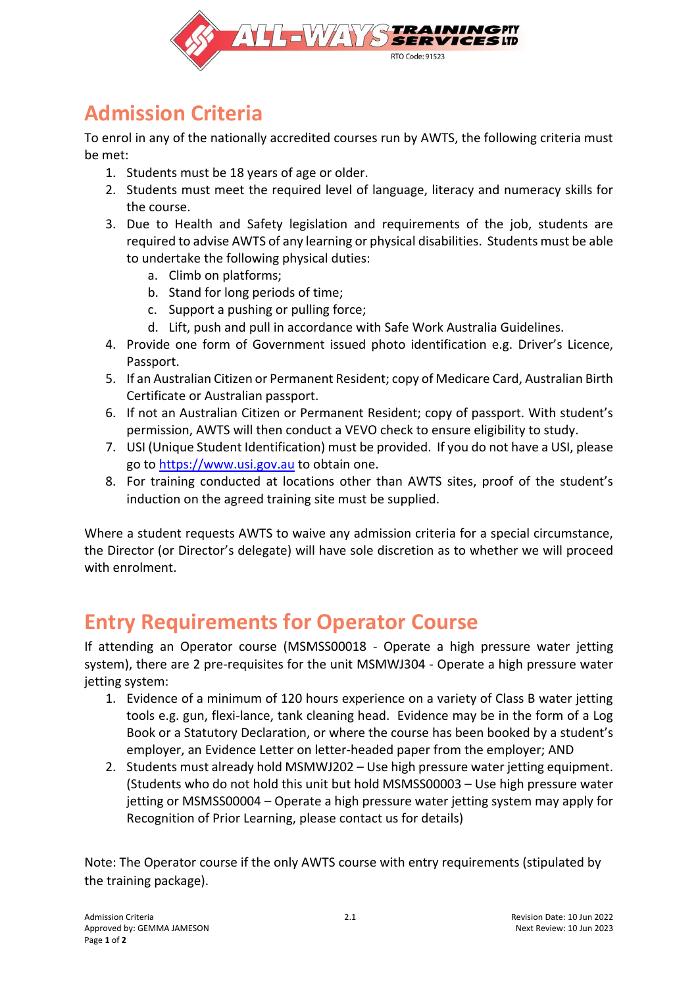

## **Admission Criteria**

To enrol in any of the nationally accredited courses run by AWTS, the following criteria must be met:

- 1. Students must be 18 years of age or older.
- 2. Students must meet the required level of language, literacy and numeracy skills for the course.
- 3. Due to Health and Safety legislation and requirements of the job, students are required to advise AWTS of any learning or physical disabilities. Students must be able to undertake the following physical duties:
	- a. Climb on platforms;
	- b. Stand for long periods of time;
	- c. Support a pushing or pulling force;
	- d. Lift, push and pull in accordance with Safe Work Australia Guidelines.
- 4. Provide one form of Government issued photo identification e.g. Driver's Licence, Passport.
- 5. If an Australian Citizen or Permanent Resident; copy of Medicare Card, Australian Birth Certificate or Australian passport.
- 6. If not an Australian Citizen or Permanent Resident; copy of passport. With student's permission, AWTS will then conduct a VEVO check to ensure eligibility to study.
- 7. USI (Unique Student Identification) must be provided. If you do not have a USI, please go to [https://www.usi.gov.au](https://www.usi.gov.au/) to obtain one.
- 8. For training conducted at locations other than AWTS sites, proof of the student's induction on the agreed training site must be supplied.

Where a student requests AWTS to waive any admission criteria for a special circumstance, the Director (or Director's delegate) will have sole discretion as to whether we will proceed with enrolment.

## **Entry Requirements for Operator Course**

If attending an Operator course (MSMSS00018 - Operate a high pressure water jetting system), there are 2 pre-requisites for the unit MSMWJ304 - Operate a high pressure water jetting system:

- 1. Evidence of a minimum of 120 hours experience on a variety of Class B water jetting tools e.g. gun, flexi-lance, tank cleaning head. Evidence may be in the form of a Log Book or a Statutory Declaration, or where the course has been booked by a student's employer, an Evidence Letter on letter-headed paper from the employer; AND
- 2. Students must already hold MSMWJ202 Use high pressure water jetting equipment. (Students who do not hold this unit but hold MSMSS00003 – Use high pressure water jetting or MSMSS00004 – Operate a high pressure water jetting system may apply for Recognition of Prior Learning, please contact us for details)

Note: The Operator course if the only AWTS course with entry requirements (stipulated by the training package).